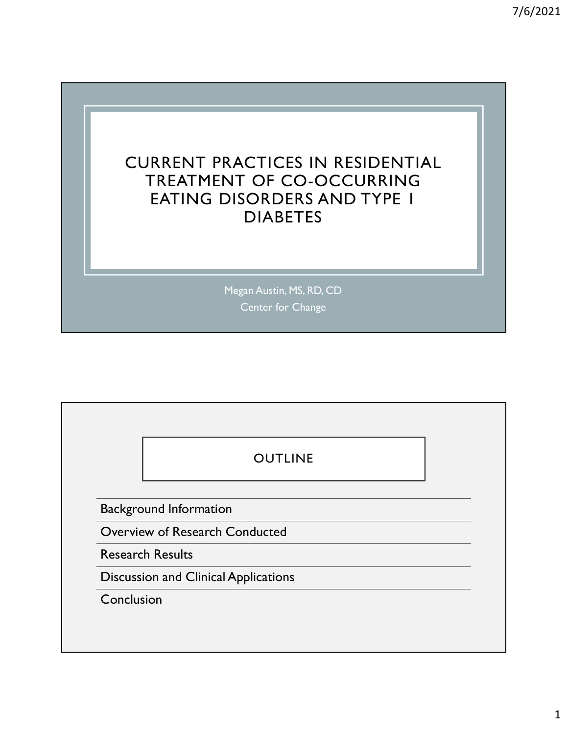

Megan Austin, MS, RD, CD Center for Change

|            | <b>OUTLINE</b>                              |
|------------|---------------------------------------------|
|            | <b>Background Information</b>               |
|            | Overview of Research Conducted              |
|            | <b>Research Results</b>                     |
|            | <b>Discussion and Clinical Applications</b> |
| Conclusion |                                             |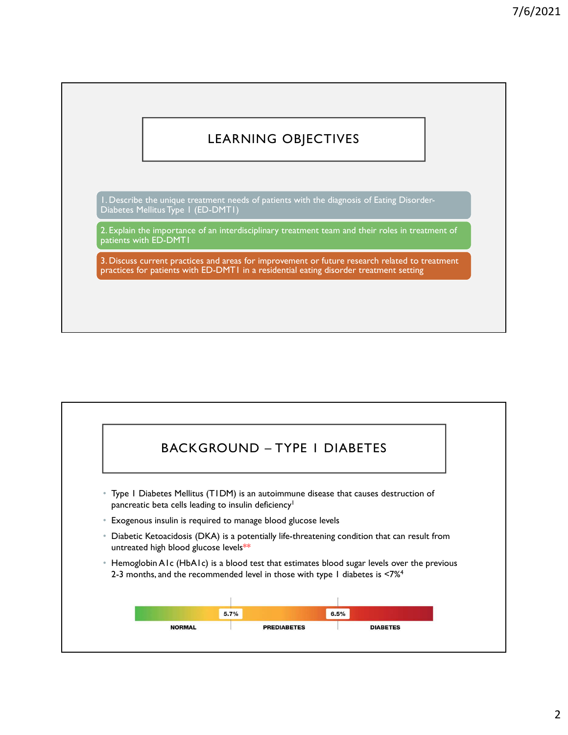# LEARNING OBJECTIVES

1. Describe the unique treatment needs of patients with the diagnosis of Eating Disorder-Diabetes Mellitus Type 1 (ED-DMT1)

2. Explain the importance of an interdisciplinary treatment team and their roles in treatment of patients with ED-DMT1

3. Discuss current practices and areas for improvement or future research related to treatment practices for patients with ED-DMT1 in a residential eating disorder treatment setting

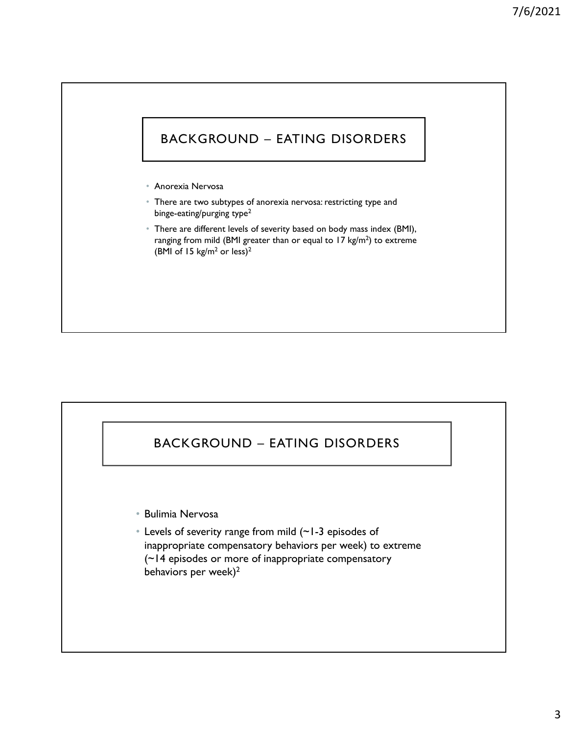# BACKGROUND – EATING DISORDERS

• Anorexia Nervosa

- There are two subtypes of anorexia nervosa: restricting type and binge-eating/purging type<sup>2</sup>
- There are different levels of severity based on body mass index (BMI), ranging from mild (BMI greater than or equal to  $17 \text{ kg/m}^2$ ) to extreme (BMI of 15 kg/m<sup>2</sup> or less)<sup>2</sup> metre are different levels of severity based on body mass index (BMI),<br>Dinge-eating purging type<sup>2</sup><br>There are different levels of severity based on body mass index (BMI),<br>ranging from mild (BMI gracer than or equal to 17 k

• Bulimia Nervosa

• Levels of severity range from mild (~1-3 episodes of inappropriate compensatory behaviors per week) to extreme (~14 episodes or more of inappropriate compensatory behaviors per week)<sup>2</sup>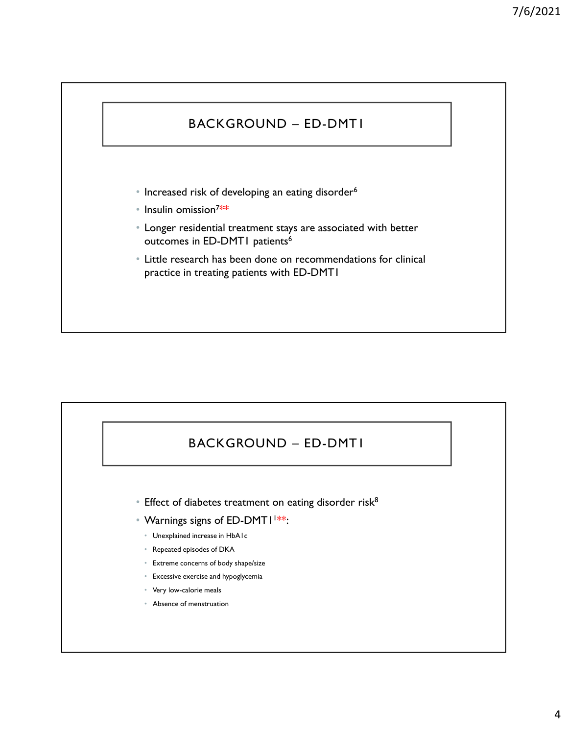# BACKGROUND – ED-DMT1

- Increased risk of developing an eating disorder<sup>6</sup>
- Insulin omission<sup>7</sup>\*\* \*\*
- Longer residential treatment stays are associated with better outcomes in ED-DMT1 patients<sup>6</sup>
- Little research has been done on recommendations for clinical practice in treating patients with ED-DMT1

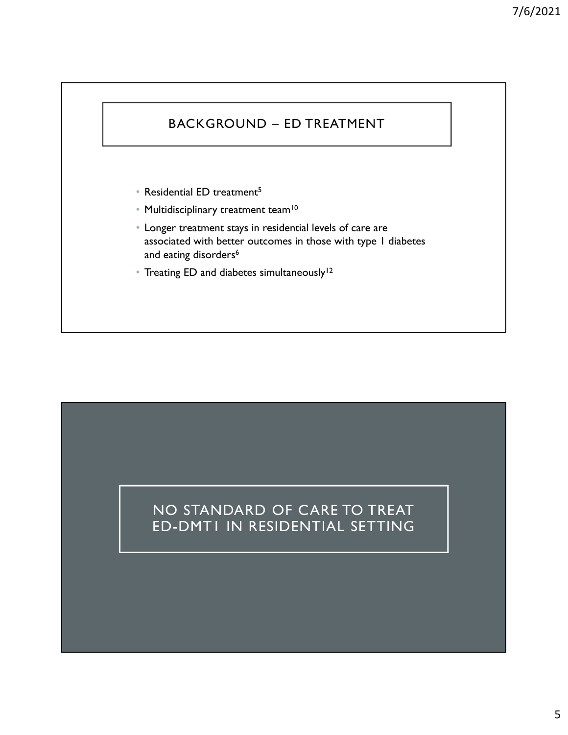# $\begin{array}{c} \text{7/6/2021} \\ \text{BackGROWND - ED TREATMENT} \\ \end{array}$

- Residential ED treatment<sup>5</sup>
- Multidisciplinary treatment team<sup>10</sup>
- Longer treatment stays in residential levels of care are associated with better outcomes in those with type 1 diabetes and eating disorders<sup>6</sup>
- Treating ED and diabetes simultaneously<sup>12</sup>

# NO STANDARD OF CARE TO TREAT ED-DMT1 IN RESIDENTIAL SETTING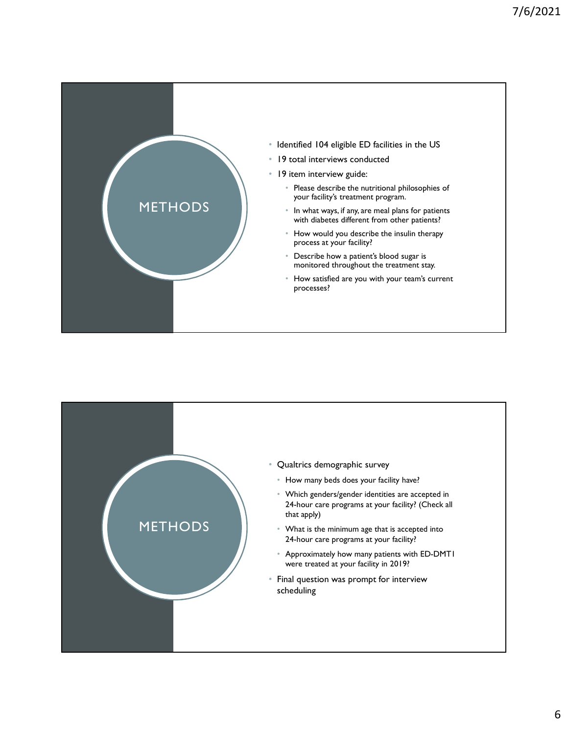

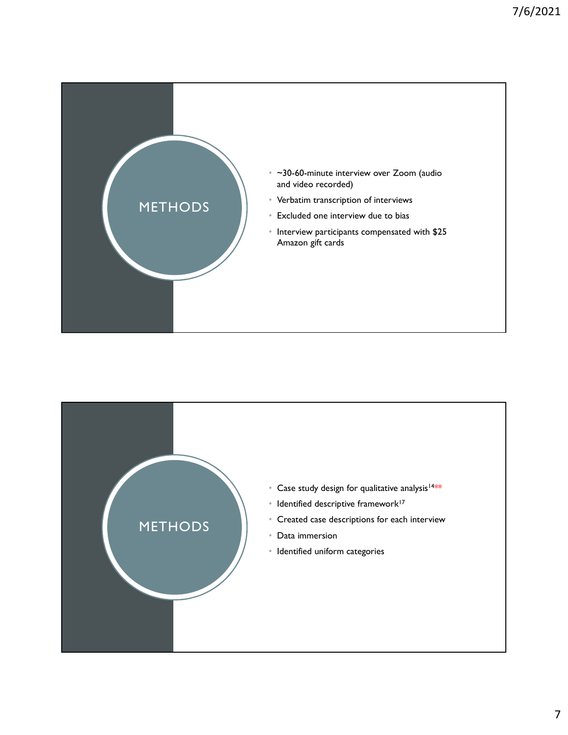

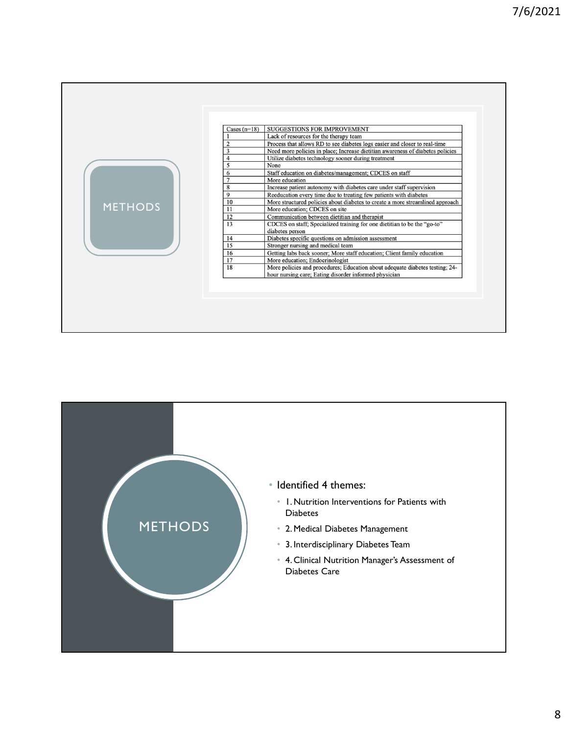| Cases $(n=18)$       | <b>SUGGESTIONS FOR IMPROVEMENT</b>                                             |
|----------------------|--------------------------------------------------------------------------------|
|                      | Lack of resources for the therapy team                                         |
|                      | Process that allows RD to see diabetes logs easier and closer to real-time     |
| 3                    | Need more policies in place; Increase dietitian awareness of diabetes policies |
| $\overline{4}$       | Utilize diabetes technology sooner during treatment                            |
| 5                    | None                                                                           |
| 6                    | Staff education on diabetes/management; CDCES on staff                         |
| $\overline{7}$       | More education                                                                 |
| 8                    | Increase patient autonomy with diabetes care under staff supervision           |
| 9                    | Reeducation every time due to treating few patients with diabetes              |
| 10                   | More structured policies about diabetes to create a more streamlined approach  |
| <b>METHODS</b><br>11 | More education; CDCES on site                                                  |
| 12                   | Communication between dietitian and therapist                                  |
| 13                   | CDCES on staff; Specialized training for one dietitian to be the "go-to"       |
|                      | diabetes person                                                                |
| 14                   | Diabetes specific questions on admission assessment                            |
| 15                   | Stronger nursing and medical team                                              |
| 16                   | Getting labs back sooner; More staff education; Client family education        |
| 17                   | More education; Endocrinologist                                                |
| 18                   | More policies and procedures; Education about adequate diabetes testing; 24-   |
|                      | hour nursing care; Eating disorder informed physician                          |

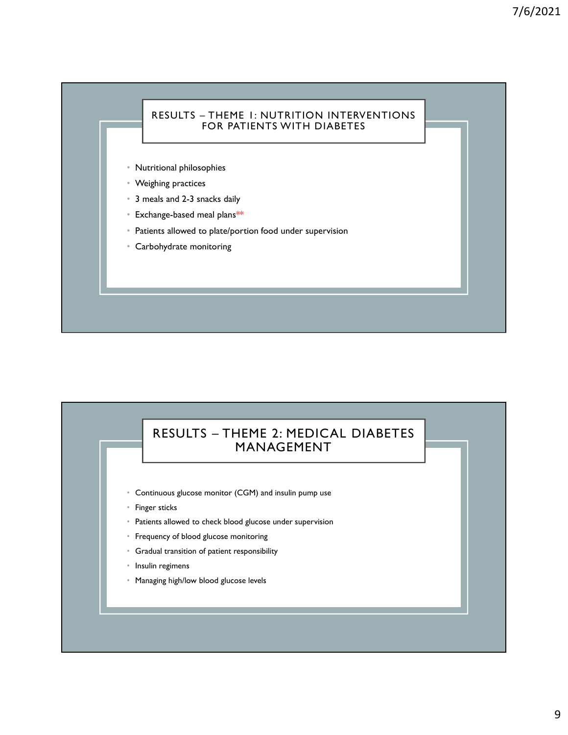# RESULTS – THEME 1: NUTRITION INTERVENTIONS<br>FOR PATIENTS WITH DIABETES<br>Titional philosophies FOR PATIENTS WITH DIABETES

- Nutritional philosophies
- Weighing practices
- 3 meals and 2-3 snacks daily
- Exchange-based meal plans\*\*
- Patients allowed to plate/portion food under supervision
- Carbohydrate monitoring

# als and 2-3 snacks daily<br>ange-based meal plans\*\*<br>rnts allowed to plate/portion food under supervision<br>obydrate monitoring<br>RESULTS – THEME 2: MEDICAL DIABETES<br>MANAGEMENT<br>inuous glucose monitor (CGM) and insulin pump use MANAGEMENT

- Continuous glucose monitor (CGM) and insulin pump use
- Finger sticks
- Patients allowed to check blood glucose under supervision
- Frequency of blood glucose monitoring
- Gradual transition of patient responsibility
- Insulin regimens
- Managing high/low blood glucose levels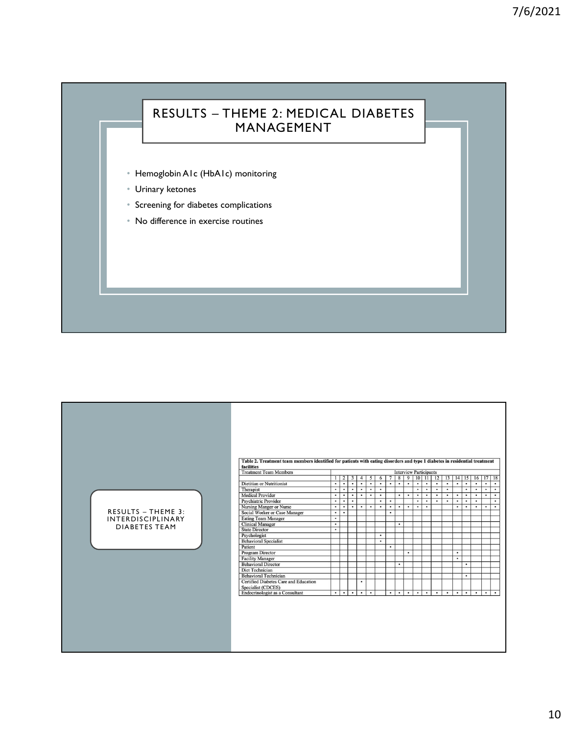┑

# 7/6<br>
RESULTS – THEME 2: MEDICAL DIABETES<br>
MANAGEMENT<br>
oglobinAlc (HbAlc) monitoring MANAGEMENT

- Hemoglobin A1c (HbA1c) monitoring
- Urinary ketones

- Screening for diabetes complications
- No difference in exercise routines

| Table 2. Treatment team members identified for patients with eating disorders and type 1 diabetes in residential treatment<br>facilities<br><b>Treatment Team Members</b><br><b>Interview Participants</b><br>  8   9   10   11   12   13   14   15   16   17   18<br>$1 \mid 2 \mid 3 \mid$<br>$\overline{4}$<br>5 <sup>5</sup><br>6<br>$\overline{7}$<br>Dietitian or Nutritionist<br>$\bullet$<br>$\bullet$<br>$\bullet$<br>$\bullet$<br>$\cdot$<br>$\bullet$<br>$\cdot$<br>$\cdot$<br>$\cdot$<br>$\cdot$<br>$\cdot$<br>$\bullet$<br>$\cdot$<br>$\cdot$<br>$\bullet$ |                                                                                                                                                                                                                   |                                                                                                           |                                                                                 |                                                                                                       |                                   |                                                                  |                             |                                     |                        |                                                |                                              | $\cdot$                                      | $\bullet$                                    | $\bullet$                                |                                        |                                              |                                     |                                              |
|-------------------------------------------------------------------------------------------------------------------------------------------------------------------------------------------------------------------------------------------------------------------------------------------------------------------------------------------------------------------------------------------------------------------------------------------------------------------------------------------------------------------------------------------------------------------------|-------------------------------------------------------------------------------------------------------------------------------------------------------------------------------------------------------------------|-----------------------------------------------------------------------------------------------------------|---------------------------------------------------------------------------------|-------------------------------------------------------------------------------------------------------|-----------------------------------|------------------------------------------------------------------|-----------------------------|-------------------------------------|------------------------|------------------------------------------------|----------------------------------------------|----------------------------------------------|----------------------------------------------|------------------------------------------|----------------------------------------|----------------------------------------------|-------------------------------------|----------------------------------------------|
| RESULTS - THEME 3:<br>INTERDISCIPLINARY<br><b>DIABETES TEAM</b>                                                                                                                                                                                                                                                                                                                                                                                                                                                                                                         | Therapist<br><b>Medical Provider</b><br><b>Psychiatric Provider</b><br>Nursing Manger or Nurse<br>Social Worker or Case Manager<br><b>Eating Team Manager</b><br><b>Clinical Manager</b><br><b>State Director</b> | $\bullet$<br>$\bullet$<br>$\overline{\cdot}$<br>$\cdot$<br>$\bullet$<br>$\bullet$<br>$\cdot$<br>$\bullet$ | $\bullet$<br>$\bullet$<br>$\overline{\cdot}$<br>$\overline{\cdot}$<br>$\bullet$ | $\bullet$ .<br>$\bullet$<br>$\bullet$<br>$\bullet$<br>$\overline{\cdot}$<br>$\cdot$<br>$\blacksquare$ | $\bullet$<br>$\bullet$<br>$\cdot$ | $\overline{\cdot}$<br>$\bullet$<br>$\overline{\cdot}$<br>$\cdot$ | ٠<br>$\bullet$<br>$\bullet$ | $\bullet$<br>$\bullet$<br>$\bullet$ | $\bullet$<br>$\bullet$ | $\bullet$<br>$\bullet$<br>$\cdot$<br>$\bullet$ | $\bullet$<br>$\bullet$<br>$\cdot$<br>$\cdot$ | $\bullet$<br>$\bullet$<br>$\overline{\cdot}$ | $\bullet$<br>$\bullet$<br>$\overline{\cdot}$ | $\bullet$<br>$\blacksquare$<br>$\bullet$ | $\bullet$<br>$\bullet$<br>$\cdot$<br>٠ | $\bullet$<br>$\bullet$<br>$\cdot$<br>$\cdot$ | $\bullet$<br>$\bullet$<br>$\bullet$ | $\bullet$<br>$\bullet$<br>$\cdot$<br>$\cdot$ |
|                                                                                                                                                                                                                                                                                                                                                                                                                                                                                                                                                                         | Psychologist<br><b>Behavioral Specialist</b><br>Patient<br>Program Director<br><b>Facility Manager</b><br><b>Behavioral Director</b>                                                                              |                                                                                                           |                                                                                 |                                                                                                       |                                   | $\bullet$<br>$\cdot$                                             | ٠                           | ٠                                   | $\bullet$              |                                                |                                              |                                              |                                              | $\bullet$<br>$\bullet$                   | $\bullet$                              |                                              |                                     |                                              |
|                                                                                                                                                                                                                                                                                                                                                                                                                                                                                                                                                                         | Diet Technician<br><b>Behavioral Technician</b><br>Certified Diabetes Care and Education                                                                                                                          |                                                                                                           |                                                                                 | $\bullet$                                                                                             |                                   |                                                                  |                             |                                     |                        |                                                |                                              |                                              |                                              |                                          | $\bullet$                              |                                              |                                     |                                              |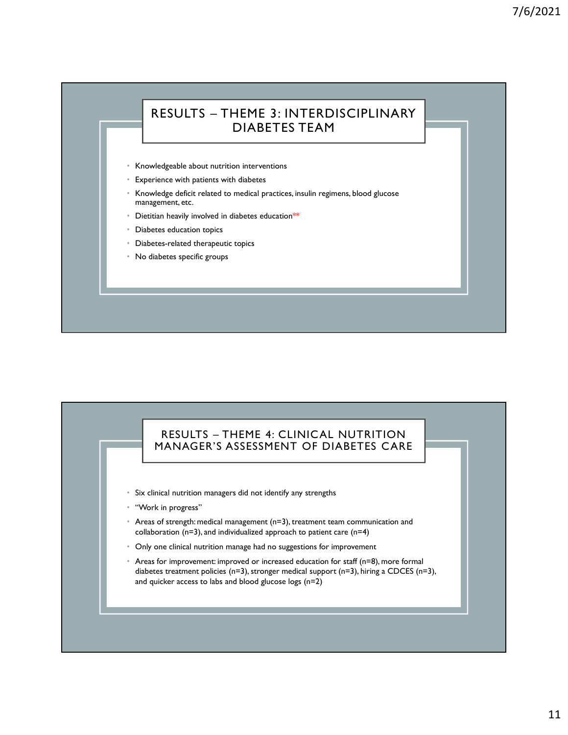# 7/<br>
RESULTS – THEME 3: INTERDISCIPLINARY<br>
DIABETES TEAM<br>
Medgeable about nutrition interventions DIABETES TEAM

- Knowledgeable about nutrition interventions
- Experience with patients with diabetes
- Knowledge deficit related to medical practices, insulin regimens, blood glucose management, etc.
- Dietitian heavily involved in diabetes education\*\*
- Diabetes education topics
- Diabetes-related therapeutic topics
- No diabetes specific groups

# ego eurote<br>
Se education topics<br>
se education projected therapeutic topics<br>
sets specific groups<br>
estes specific groups<br>
RESULTS – THEME 4: CLINICAL NUTRITION<br>
ANAGER'S ASSESSMENT OF DIABETES CARE<br>
cal nutrition managers d MANAGER'S ASSESSMENT OF DIABETES CARE

- Six clinical nutrition managers did not identify any strengths
- "Work in progress"
- Areas of strength: medical management (n=3), treatment team communication and collaboration ( $n=3$ ), and individualized approach to patient care ( $n=4$ )
- Only one clinical nutrition manage had no suggestions for improvement
- Areas for improvement: improved or increased education for staff (n=8), more formal diabetes treatment policies (n=3), stronger medical support (n=3), hiring a CDCES (n=3), and quicker access to labs and blood glucose logs (n=2)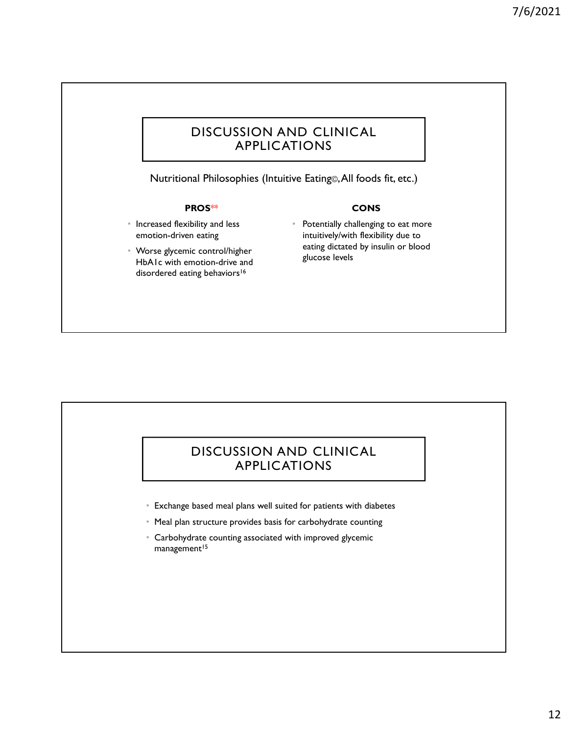## DISCUSSION AND CLINICAL APPLICATIONS

Nutritional Philosophies (Intuitive Eating©, All foods fit, etc.)

### PROS\*\*

- Increased flexibility and less emotion-driven eating
- Worse glycemic control/higher HbA1c with emotion-drive and disordered eating behaviors<sup>16</sup>

### **CONS**

• Potentially challenging to eat more intuitively/with flexibility due to eating dictated by insulin or blood glucose levels

# DISCUSSION AND CLINICAL APPLICATIONS

- Exchange based meal plans well suited for patients with diabetes
- Meal plan structure provides basis for carbohydrate counting
- Carbohydrate counting associated with improved glycemic management<sup>15</sup>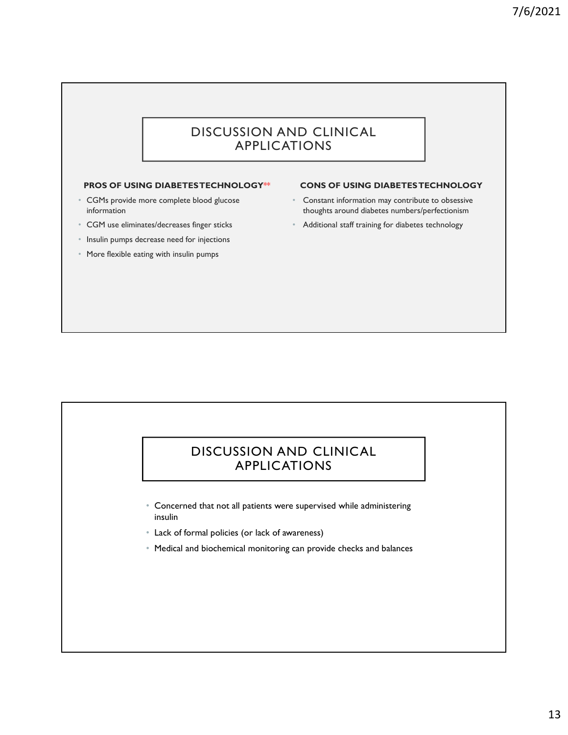## DISCUSSION AND CLINICAL APPLICATIONS

### PROS OF USING DIABETES TECHNOLOGY\*\*

- CGMs provide more complete blood glucose information
- CGM use eliminates/decreases finger sticks
- Insulin pumps decrease need for injections
- More flexible eating with insulin pumps

### CONS OF USING DIABETES TECHNOLOGY

- Constant information may contribute to obsessive thoughts around diabetes numbers/perfectionism
- Additional staff training for diabetes technology

# DISCUSSION AND CLINICAL APPLICATIONS

- Concerned that not all patients were supervised while administering insulin
- Lack of formal policies (or lack of awareness)
- Medical and biochemical monitoring can provide checks and balances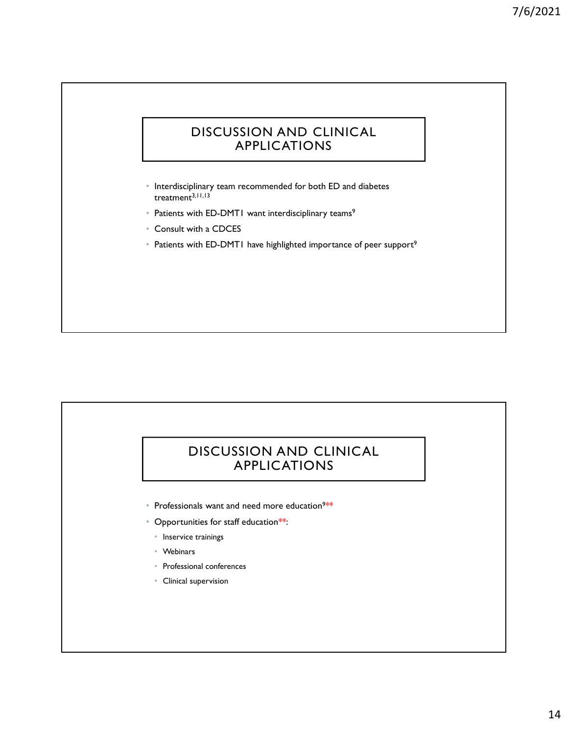## DISCUSSION AND CLINICAL APPLICATIONS

- Interdisciplinary team recommended for both ED and diabetes treatment<sup>3,11,13</sup>
- Patients with ED-DMT1 want interdisciplinary teams<sup>9</sup>
- Consult with a CDCES
- Patients with ED-DMT1 have highlighted importance of peer support<sup>9</sup>

# DISCUSSION AND CLINICAL APPLICATIONS

- Professionals want and need more education<sup>9\*\*</sup> \*\*
- Opportunities for staff education\*\*:
	- Inservice trainings
	- Webinars
	- Professional conferences
	- Clinical supervision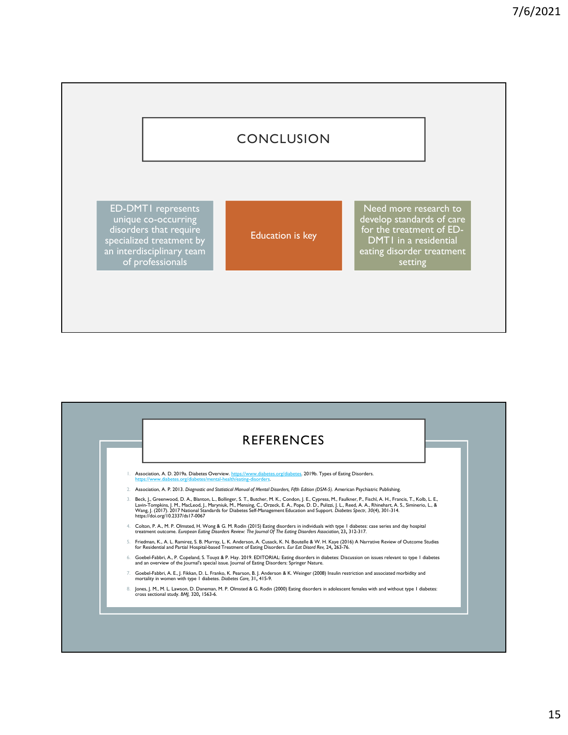# **CONCLUSION**

ED-DMT1 represents unique co-occurring disorders that require **that the contraction** specialized treatment by **Education is key** an interdisciplinary team of professionals

Education is key **Example 19** TOP the treatment of Need more research to develop standards of care for the treatment of ED-DMT1 in a residential eating disorder treatment **setting**